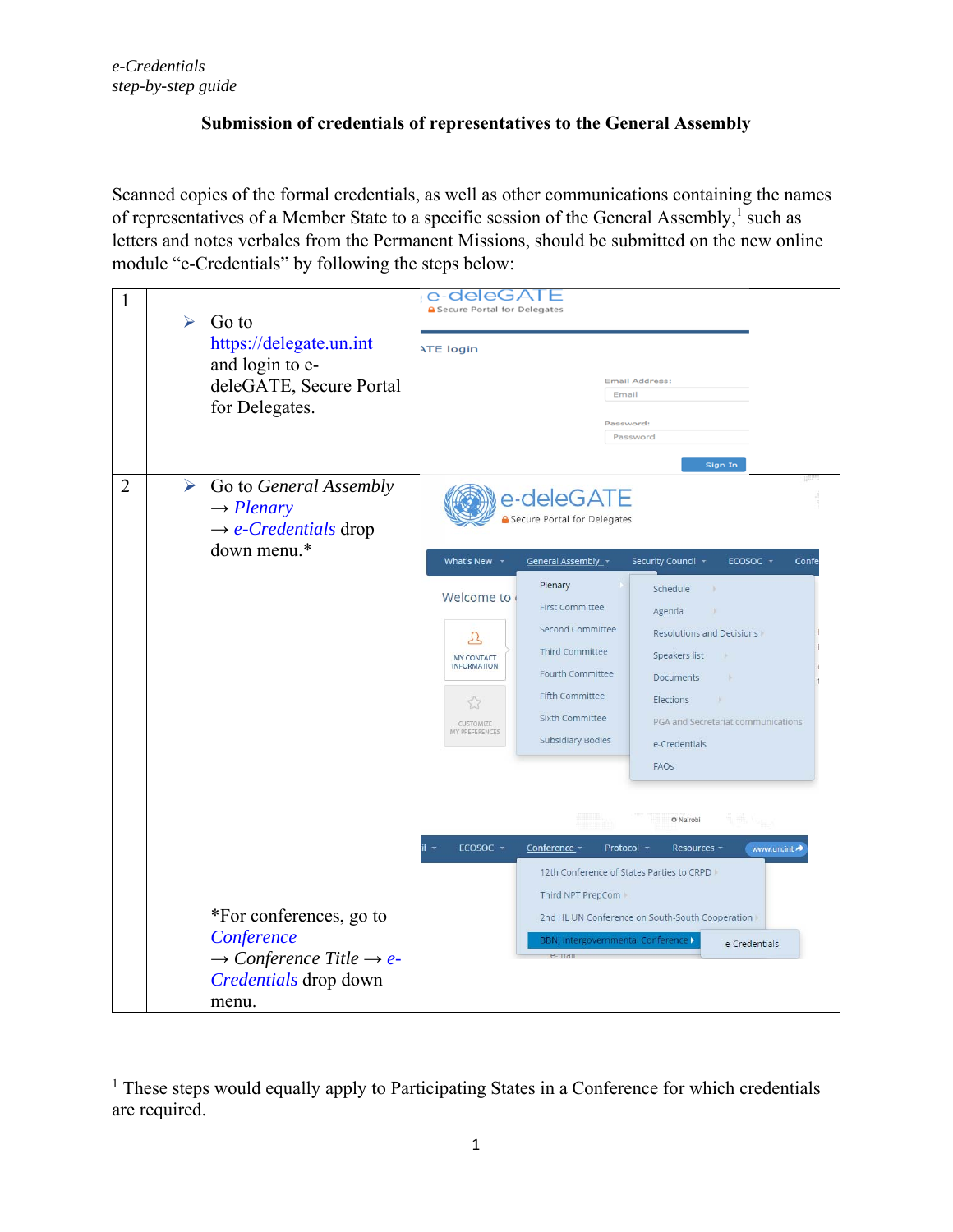## **Submission of credentials of representatives to the General Assembly**

Scanned copies of the formal credentials, as well as other communications containing the names of representatives of a Member State to a specific session of the General Assembly,<sup>1</sup> such as letters and notes verbales from the Permanent Missions, should be submitted on the new online module "e-Credentials" by following the steps below:

| 1              | Go to<br>➤<br>https://delegate.un.int<br>and login to e-<br>deleGATE, Secure Portal<br>for Delegates.                                                  | e-dele(<br>∍∠<br>Secure Portal for Delegates<br><b>ATE login</b><br><b>Email Address:</b><br>Email<br>Password:<br>Password<br>Sign In                                                                                                                                                                                                                                                                                                                                                                                                                                                                                                                                                                                                                                                                     |
|----------------|--------------------------------------------------------------------------------------------------------------------------------------------------------|------------------------------------------------------------------------------------------------------------------------------------------------------------------------------------------------------------------------------------------------------------------------------------------------------------------------------------------------------------------------------------------------------------------------------------------------------------------------------------------------------------------------------------------------------------------------------------------------------------------------------------------------------------------------------------------------------------------------------------------------------------------------------------------------------------|
| $\overline{2}$ | $\blacktriangleright$<br>Go to General Assembly<br>$\rightarrow$ Plenary<br>$\rightarrow$ e-Credentials drop<br>down menu.*<br>*For conferences, go to | e-deleGATE<br><b>B</b> Secure Portal for Delegates<br>What's New -<br>General Assembly_<br>Security Council ~<br>ECOSOC -<br>Confe<br>Plenary<br>Schedule<br>Welcome to<br><b>First Committee</b><br>Agenda<br><b>Second Committee</b><br>Resolutions and Decisions<br>Ω<br>Third Committee<br>Speakers list<br><b>MY CONTACT</b><br><b>INFORMATION</b><br>Fourth Committee<br><b>Documents</b><br><b>Fifth Committee</b><br>Elections<br>w<br>53<br>Sixth Committee<br>PGA and Secretariat communications<br>CUSTOMIZE<br>MY PREFERENCES<br><b>Subsidiary Bodies</b><br>e-Credentials<br>FAQS<br>O Nairobi<br>ECOSOC -<br>Conference -<br>Protocol -<br>Resources -<br>www.un.int<br>12th Conference of States Parties to CRPD II<br>Third NPT PrepCom<br>2nd HL UN Conference on South-South Cooperation |
|                | Conference<br>$\rightarrow$ Conference Title $\rightarrow$ e-<br>Credentials drop down<br>menu.                                                        | <b>BBNJ Intergovernmental Conference &gt;</b><br>e-Credentials<br>e-man                                                                                                                                                                                                                                                                                                                                                                                                                                                                                                                                                                                                                                                                                                                                    |

 <sup>1</sup> These steps would equally apply to Participating States in a Conference for which credentials are required.